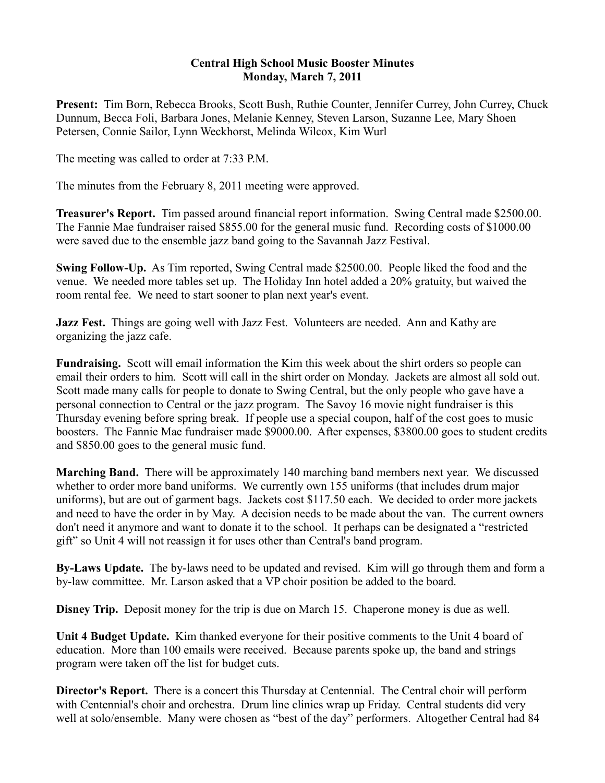## **Central High School Music Booster Minutes Monday, March 7, 2011**

**Present:** Tim Born, Rebecca Brooks, Scott Bush, Ruthie Counter, Jennifer Currey, John Currey, Chuck Dunnum, Becca Foli, Barbara Jones, Melanie Kenney, Steven Larson, Suzanne Lee, Mary Shoen Petersen, Connie Sailor, Lynn Weckhorst, Melinda Wilcox, Kim Wurl

The meeting was called to order at 7:33 P.M.

The minutes from the February 8, 2011 meeting were approved.

**Treasurer's Report.** Tim passed around financial report information. Swing Central made \$2500.00. The Fannie Mae fundraiser raised \$855.00 for the general music fund. Recording costs of \$1000.00 were saved due to the ensemble jazz band going to the Savannah Jazz Festival.

**Swing Follow-Up.** As Tim reported, Swing Central made \$2500.00. People liked the food and the venue. We needed more tables set up. The Holiday Inn hotel added a 20% gratuity, but waived the room rental fee. We need to start sooner to plan next year's event.

**Jazz Fest.** Things are going well with Jazz Fest. Volunteers are needed. Ann and Kathy are organizing the jazz cafe.

**Fundraising.** Scott will email information the Kim this week about the shirt orders so people can email their orders to him. Scott will call in the shirt order on Monday. Jackets are almost all sold out. Scott made many calls for people to donate to Swing Central, but the only people who gave have a personal connection to Central or the jazz program. The Savoy 16 movie night fundraiser is this Thursday evening before spring break. If people use a special coupon, half of the cost goes to music boosters. The Fannie Mae fundraiser made \$9000.00. After expenses, \$3800.00 goes to student credits and \$850.00 goes to the general music fund.

**Marching Band.** There will be approximately 140 marching band members next year. We discussed whether to order more band uniforms. We currently own 155 uniforms (that includes drum major uniforms), but are out of garment bags. Jackets cost \$117.50 each. We decided to order more jackets and need to have the order in by May. A decision needs to be made about the van. The current owners don't need it anymore and want to donate it to the school. It perhaps can be designated a "restricted gift" so Unit 4 will not reassign it for uses other than Central's band program.

**By-Laws Update.** The by-laws need to be updated and revised. Kim will go through them and form a by-law committee. Mr. Larson asked that a VP choir position be added to the board.

**Disney Trip.** Deposit money for the trip is due on March 15. Chaperone money is due as well.

**Unit 4 Budget Update.** Kim thanked everyone for their positive comments to the Unit 4 board of education. More than 100 emails were received. Because parents spoke up, the band and strings program were taken off the list for budget cuts.

**Director's Report.** There is a concert this Thursday at Centennial. The Central choir will perform with Centennial's choir and orchestra. Drum line clinics wrap up Friday. Central students did very well at solo/ensemble. Many were chosen as "best of the day" performers. Altogether Central had 84